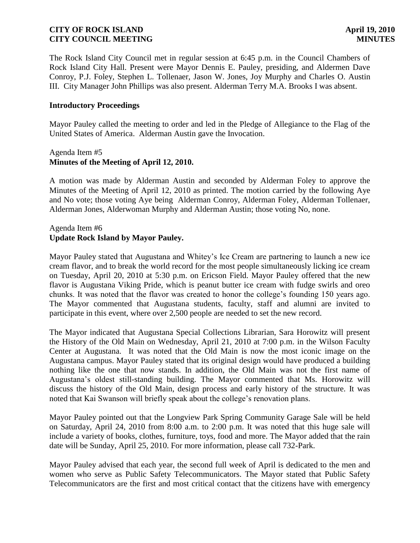The Rock Island City Council met in regular session at 6:45 p.m. in the Council Chambers of Rock Island City Hall. Present were Mayor Dennis E. Pauley, presiding, and Aldermen Dave Conroy, P.J. Foley, Stephen L. Tollenaer, Jason W. Jones, Joy Murphy and Charles O. Austin III. City Manager John Phillips was also present. Alderman Terry M.A. Brooks I was absent.

#### **Introductory Proceedings**

Mayor Pauley called the meeting to order and led in the Pledge of Allegiance to the Flag of the United States of America. Alderman Austin gave the Invocation.

#### Agenda Item #5 **Minutes of the Meeting of April 12, 2010.**

A motion was made by Alderman Austin and seconded by Alderman Foley to approve the Minutes of the Meeting of April 12, 2010 as printed. The motion carried by the following Aye and No vote; those voting Aye being Alderman Conroy, Alderman Foley, Alderman Tollenaer, Alderman Jones, Alderwoman Murphy and Alderman Austin; those voting No, none.

## Agenda Item #6 **Update Rock Island by Mayor Pauley.**

Mayor Pauley stated that Augustana and Whitey's Ice Cream are partnering to launch a new ice cream flavor, and to break the world record for the most people simultaneously licking ice cream on Tuesday, April 20, 2010 at 5:30 p.m. on Ericson Field. Mayor Pauley offered that the new flavor is Augustana Viking Pride, which is peanut butter ice cream with fudge swirls and oreo chunks. It was noted that the flavor was created to honor the college's founding 150 years ago. The Mayor commented that Augustana students, faculty, staff and alumni are invited to participate in this event, where over 2,500 people are needed to set the new record.

The Mayor indicated that Augustana Special Collections Librarian, Sara Horowitz will present the History of the Old Main on Wednesday, April 21, 2010 at 7:00 p.m. in the Wilson Faculty Center at Augustana. It was noted that the Old Main is now the most iconic image on the Augustana campus. Mayor Pauley stated that its original design would have produced a building nothing like the one that now stands. In addition, the Old Main was not the first name of Augustana's oldest still-standing building. The Mayor commented that Ms. Horowitz will discuss the history of the Old Main, design process and early history of the structure. It was noted that Kai Swanson will briefly speak about the college's renovation plans.

Mayor Pauley pointed out that the Longview Park Spring Community Garage Sale will be held on Saturday, April 24, 2010 from 8:00 a.m. to 2:00 p.m. It was noted that this huge sale will include a variety of books, clothes, furniture, toys, food and more. The Mayor added that the rain date will be Sunday, April 25, 2010. For more information, please call 732-Park.

Mayor Pauley advised that each year, the second full week of April is dedicated to the men and women who serve as Public Safety Telecommunicators. The Mayor stated that Public Safety Telecommunicators are the first and most critical contact that the citizens have with emergency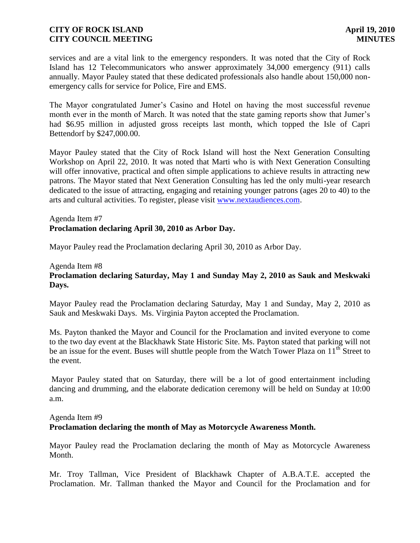services and are a vital link to the emergency responders. It was noted that the City of Rock Island has 12 Telecommunicators who answer approximately 34,000 emergency (911) calls annually. Mayor Pauley stated that these dedicated professionals also handle about 150,000 nonemergency calls for service for Police, Fire and EMS.

The Mayor congratulated Jumer's Casino and Hotel on having the most successful revenue month ever in the month of March. It was noted that the state gaming reports show that Jumer's had \$6.95 million in adjusted gross receipts last month, which topped the Isle of Capri Bettendorf by \$247,000.00.

Mayor Pauley stated that the City of Rock Island will host the Next Generation Consulting Workshop on April 22, 2010. It was noted that Marti who is with Next Generation Consulting will offer innovative, practical and often simple applications to achieve results in attracting new patrons. The Mayor stated that Next Generation Consulting has led the only multi-year research dedicated to the issue of attracting, engaging and retaining younger patrons (ages 20 to 40) to the arts and cultural activities. To register, please visit [www.nextaudiences.com.](http://www.nextaudiences.com/)

Agenda Item #7 **Proclamation declaring April 30, 2010 as Arbor Day.**

Mayor Pauley read the Proclamation declaring April 30, 2010 as Arbor Day.

# Agenda Item #8 **Proclamation declaring Saturday, May 1 and Sunday May 2, 2010 as Sauk and Meskwaki Days.**

Mayor Pauley read the Proclamation declaring Saturday, May 1 and Sunday, May 2, 2010 as Sauk and Meskwaki Days. Ms. Virginia Payton accepted the Proclamation.

Ms. Payton thanked the Mayor and Council for the Proclamation and invited everyone to come to the two day event at the Blackhawk State Historic Site. Ms. Payton stated that parking will not be an issue for the event. Buses will shuttle people from the Watch Tower Plaza on  $11<sup>th</sup>$  Street to the event.

Mayor Pauley stated that on Saturday, there will be a lot of good entertainment including dancing and drumming, and the elaborate dedication ceremony will be held on Sunday at 10:00 a.m.

#### Agenda Item #9

# **Proclamation declaring the month of May as Motorcycle Awareness Month.**

Mayor Pauley read the Proclamation declaring the month of May as Motorcycle Awareness Month.

Mr. Troy Tallman, Vice President of Blackhawk Chapter of A.B.A.T.E. accepted the Proclamation. Mr. Tallman thanked the Mayor and Council for the Proclamation and for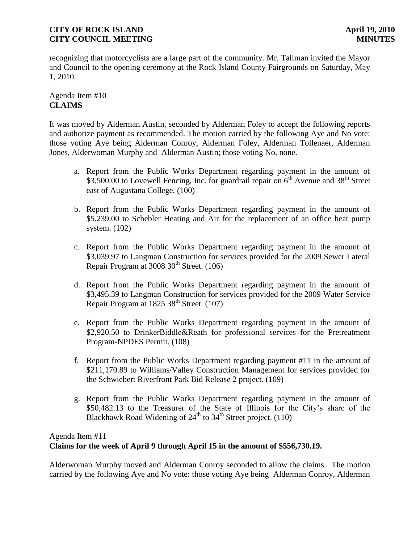recognizing that motorcyclists are a large part of the community. Mr. Tallman invited the Mayor and Council to the opening ceremony at the Rock Island County Fairgrounds on Saturday, May 1, 2010.

# Agenda Item #10 **CLAIMS**

It was moved by Alderman Austin, seconded by Alderman Foley to accept the following reports and authorize payment as recommended. The motion carried by the following Aye and No vote: those voting Aye being Alderman Conroy, Alderman Foley, Alderman Tollenaer, Alderman Jones, Alderwoman Murphy and Alderman Austin; those voting No, none.

- a. Report from the Public Works Department regarding payment in the amount of \$3,500.00 to Lovewell Fencing, Inc. for guardrail repair on  $6<sup>th</sup>$  Avenue and 38<sup>th</sup> Street east of Augustana College. (100)
- b. Report from the Public Works Department regarding payment in the amount of \$5,239.00 to Schebler Heating and Air for the replacement of an office heat pump system. (102)
- c. Report from the Public Works Department regarding payment in the amount of \$3,039.97 to Langman Construction for services provided for the 2009 Sewer Lateral Repair Program at  $3008 \, 30^{th}$  Street. (106)
- d. Report from the Public Works Department regarding payment in the amount of \$3,495.39 to Langman Construction for services provided for the 2009 Water Service Repair Program at  $1825\,38^{th}$  Street. (107)
- e. Report from the Public Works Department regarding payment in the amount of \$2,920.50 to DrinkerBiddle&Reath for professional services for the Pretreatment Program-NPDES Permit. (108)
- f. Report from the Public Works Department regarding payment #11 in the amount of \$211,170.89 to Williams/Valley Construction Management for services provided for the Schwiebert Riverfront Park Bid Release 2 project. (109)
- g. Report from the Public Works Department regarding payment in the amount of \$50,482.13 to the Treasurer of the State of Illinois for the City's share of the Blackhawk Road Widening of  $24<sup>th</sup>$  to  $34<sup>th</sup>$  Street project. (110)

# Agenda Item #11

# **Claims for the week of April 9 through April 15 in the amount of \$556,730.19.**

Alderwoman Murphy moved and Alderman Conroy seconded to allow the claims. The motion carried by the following Aye and No vote: those voting Aye being Alderman Conroy, Alderman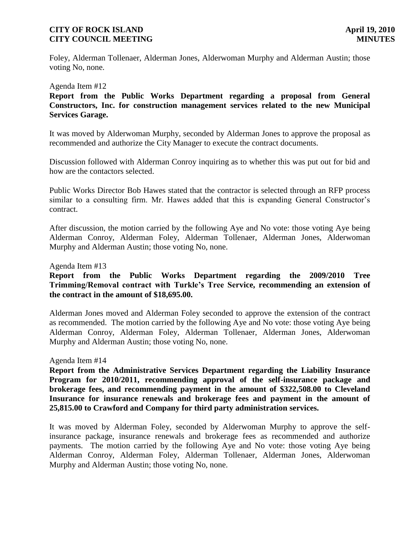Foley, Alderman Tollenaer, Alderman Jones, Alderwoman Murphy and Alderman Austin; those voting No, none.

Agenda Item #12

**Report from the Public Works Department regarding a proposal from General Constructors, Inc. for construction management services related to the new Municipal Services Garage.**

It was moved by Alderwoman Murphy, seconded by Alderman Jones to approve the proposal as recommended and authorize the City Manager to execute the contract documents.

Discussion followed with Alderman Conroy inquiring as to whether this was put out for bid and how are the contactors selected.

Public Works Director Bob Hawes stated that the contractor is selected through an RFP process similar to a consulting firm. Mr. Hawes added that this is expanding General Constructor's contract.

After discussion, the motion carried by the following Aye and No vote: those voting Aye being Alderman Conroy, Alderman Foley, Alderman Tollenaer, Alderman Jones, Alderwoman Murphy and Alderman Austin; those voting No, none.

Agenda Item #13

**Report from the Public Works Department regarding the 2009/2010 Tree Trimming/Removal contract with Turkle's Tree Service, recommending an extension of the contract in the amount of \$18,695.00.**

Alderman Jones moved and Alderman Foley seconded to approve the extension of the contract as recommended. The motion carried by the following Aye and No vote: those voting Aye being Alderman Conroy, Alderman Foley, Alderman Tollenaer, Alderman Jones, Alderwoman Murphy and Alderman Austin; those voting No, none.

Agenda Item #14

**Report from the Administrative Services Department regarding the Liability Insurance Program for 2010/2011, recommending approval of the self-insurance package and brokerage fees, and recommending payment in the amount of \$322,508.00 to Cleveland Insurance for insurance renewals and brokerage fees and payment in the amount of 25,815.00 to Crawford and Company for third party administration services.**

It was moved by Alderman Foley, seconded by Alderwoman Murphy to approve the selfinsurance package, insurance renewals and brokerage fees as recommended and authorize payments. The motion carried by the following Aye and No vote: those voting Aye being Alderman Conroy, Alderman Foley, Alderman Tollenaer, Alderman Jones, Alderwoman Murphy and Alderman Austin; those voting No, none.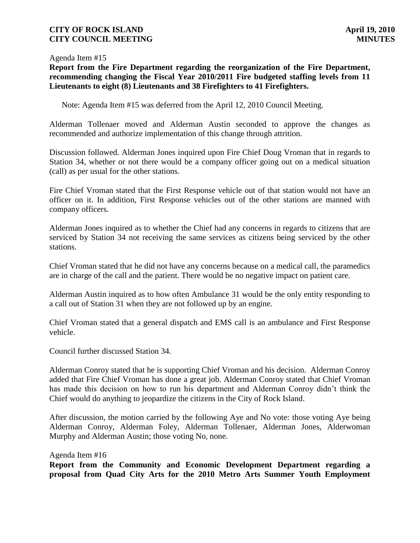#### Agenda Item #15

**Report from the Fire Department regarding the reorganization of the Fire Department, recommending changing the Fiscal Year 2010/2011 Fire budgeted staffing levels from 11 Lieutenants to eight (8) Lieutenants and 38 Firefighters to 41 Firefighters.** 

Note: Agenda Item #15 was deferred from the April 12, 2010 Council Meeting.

Alderman Tollenaer moved and Alderman Austin seconded to approve the changes as recommended and authorize implementation of this change through attrition.

Discussion followed. Alderman Jones inquired upon Fire Chief Doug Vroman that in regards to Station 34, whether or not there would be a company officer going out on a medical situation (call) as per usual for the other stations.

Fire Chief Vroman stated that the First Response vehicle out of that station would not have an officer on it. In addition, First Response vehicles out of the other stations are manned with company officers.

Alderman Jones inquired as to whether the Chief had any concerns in regards to citizens that are serviced by Station 34 not receiving the same services as citizens being serviced by the other stations.

Chief Vroman stated that he did not have any concerns because on a medical call, the paramedics are in charge of the call and the patient. There would be no negative impact on patient care.

Alderman Austin inquired as to how often Ambulance 31 would be the only entity responding to a call out of Station 31 when they are not followed up by an engine.

Chief Vroman stated that a general dispatch and EMS call is an ambulance and First Response vehicle.

Council further discussed Station 34.

Alderman Conroy stated that he is supporting Chief Vroman and his decision. Alderman Conroy added that Fire Chief Vroman has done a great job. Alderman Conroy stated that Chief Vroman has made this decision on how to run his department and Alderman Conroy didn't think the Chief would do anything to jeopardize the citizens in the City of Rock Island.

After discussion, the motion carried by the following Aye and No vote: those voting Aye being Alderman Conroy, Alderman Foley, Alderman Tollenaer, Alderman Jones, Alderwoman Murphy and Alderman Austin; those voting No, none.

Agenda Item #16

**Report from the Community and Economic Development Department regarding a proposal from Quad City Arts for the 2010 Metro Arts Summer Youth Employment**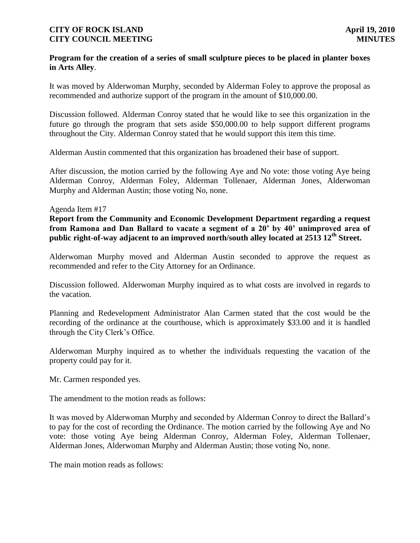#### **Program for the creation of a series of small sculpture pieces to be placed in planter boxes in Arts Alley**.

It was moved by Alderwoman Murphy, seconded by Alderman Foley to approve the proposal as recommended and authorize support of the program in the amount of \$10,000.00.

Discussion followed. Alderman Conroy stated that he would like to see this organization in the future go through the program that sets aside \$50,000.00 to help support different programs throughout the City. Alderman Conroy stated that he would support this item this time.

Alderman Austin commented that this organization has broadened their base of support.

After discussion, the motion carried by the following Aye and No vote: those voting Aye being Alderman Conroy, Alderman Foley, Alderman Tollenaer, Alderman Jones, Alderwoman Murphy and Alderman Austin; those voting No, none.

#### Agenda Item #17

**Report from the Community and Economic Development Department regarding a request from Ramona and Dan Ballard to vacate a segment of a 20' by 40' unimproved area of public right-of-way adjacent to an improved north/south alley located at 2513 12th Street.**

Alderwoman Murphy moved and Alderman Austin seconded to approve the request as recommended and refer to the City Attorney for an Ordinance.

Discussion followed. Alderwoman Murphy inquired as to what costs are involved in regards to the vacation.

Planning and Redevelopment Administrator Alan Carmen stated that the cost would be the recording of the ordinance at the courthouse, which is approximately \$33.00 and it is handled through the City Clerk's Office.

Alderwoman Murphy inquired as to whether the individuals requesting the vacation of the property could pay for it.

Mr. Carmen responded yes.

The amendment to the motion reads as follows:

It was moved by Alderwoman Murphy and seconded by Alderman Conroy to direct the Ballard's to pay for the cost of recording the Ordinance. The motion carried by the following Aye and No vote: those voting Aye being Alderman Conroy, Alderman Foley, Alderman Tollenaer, Alderman Jones, Alderwoman Murphy and Alderman Austin; those voting No, none.

The main motion reads as follows: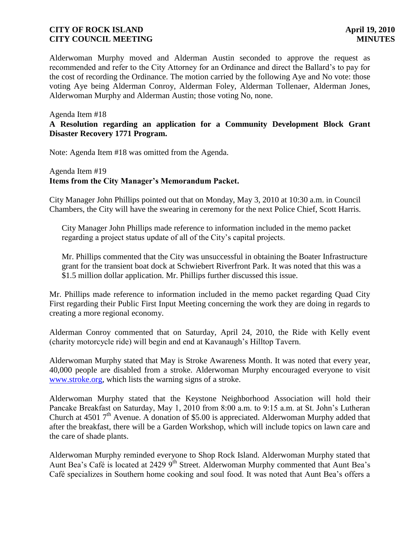Alderwoman Murphy moved and Alderman Austin seconded to approve the request as recommended and refer to the City Attorney for an Ordinance and direct the Ballard's to pay for the cost of recording the Ordinance. The motion carried by the following Aye and No vote: those voting Aye being Alderman Conroy, Alderman Foley, Alderman Tollenaer, Alderman Jones, Alderwoman Murphy and Alderman Austin; those voting No, none.

#### Agenda Item #18

## **A Resolution regarding an application for a Community Development Block Grant Disaster Recovery 1771 Program.**

Note: Agenda Item #18 was omitted from the Agenda.

## Agenda Item #19 **Items from the City Manager's Memorandum Packet.**

City Manager John Phillips pointed out that on Monday, May 3, 2010 at 10:30 a.m. in Council Chambers, the City will have the swearing in ceremony for the next Police Chief, Scott Harris.

 City Manager John Phillips made reference to information included in the memo packet regarding a project status update of all of the City's capital projects.

 Mr. Phillips commented that the City was unsuccessful in obtaining the Boater Infrastructure grant for the transient boat dock at Schwiebert Riverfront Park. It was noted that this was a \$1.5 million dollar application. Mr. Phillips further discussed this issue.

Mr. Phillips made reference to information included in the memo packet regarding Quad City First regarding their Public First Input Meeting concerning the work they are doing in regards to creating a more regional economy.

Alderman Conroy commented that on Saturday, April 24, 2010, the Ride with Kelly event (charity motorcycle ride) will begin and end at Kavanaugh's Hilltop Tavern.

Alderwoman Murphy stated that May is Stroke Awareness Month. It was noted that every year, 40,000 people are disabled from a stroke. Alderwoman Murphy encouraged everyone to visit [www.stroke.org,](http://www.stroke.org/) which lists the warning signs of a stroke.

Alderwoman Murphy stated that the Keystone Neighborhood Association will hold their Pancake Breakfast on Saturday, May 1, 2010 from 8:00 a.m. to 9:15 a.m. at St. John's Lutheran Church at 4501  $7<sup>th</sup>$  Avenue. A donation of \$5.00 is appreciated. Alderwoman Murphy added that after the breakfast, there will be a Garden Workshop, which will include topics on lawn care and the care of shade plants.

Alderwoman Murphy reminded everyone to Shop Rock Island. Alderwoman Murphy stated that Aunt Bea's Café is located at 2429 9<sup>th</sup> Street. Alderwoman Murphy commented that Aunt Bea's Café specializes in Southern home cooking and soul food. It was noted that Aunt Bea's offers a